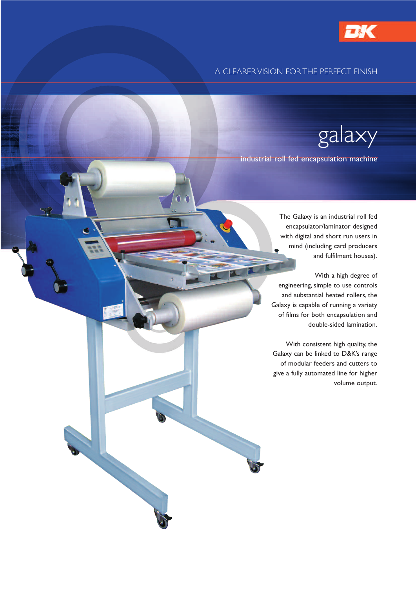

## A CLEARER VISION FOR THE PERFECT FINISH

galaxy

industrial roll fed encapsulation machine

The Galaxy is an industrial roll fed encapsulator/laminator designed with digital and short run users in mind (including card producers and fulfilment houses).

With a high degree of engineering, simple to use controls and substantial heated rollers, the Galaxy is capable of running a variety of films for both encapsulation and double-sided lamination.

With consistent high quality, the Galaxy can be linked to D&K's range of modular feeders and cutters to give a fully automated line for higher volume output.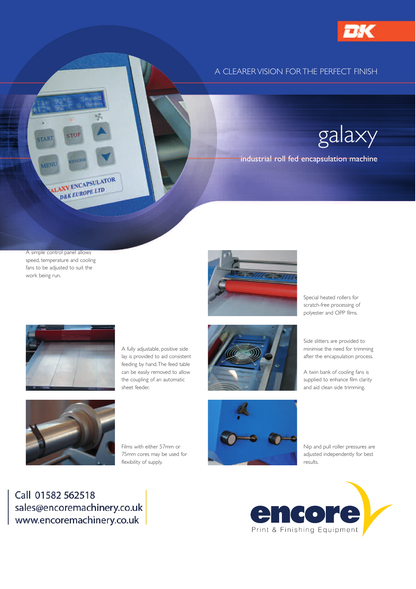

## A CLEARER VISION FOR THE PERFECT FINISH

galaxy

industrial roll fed encapsulation machine

A simple control panel allows speed, temperature and cooling fans to be adjusted to suit the work being run.

ALAXY ENCAPSULATOR D&K EUROPE LTD

START

MEN



Special heated rollers for scratch-free processing of polyester and OPP films.



A fully adjustable, positive side lay is provided to aid consistent feeding by hand.The feed table can be easily removed to allow the coupling of an automatic sheet feeder.



Side slitters are provided to minimise the need for trimming

after the encapsulation process.

A twin bank of cooling fans is supplied to enhance film clarity and aid clean side trimming.



Films with either 57mm or 75mm cores may be used for flexibility of supply.



Nip and pull roller pressures are adjusted independently for best results.

Call 01582 562518 sales@encoremachinery.co.uk www.encoremachinery.co.uk